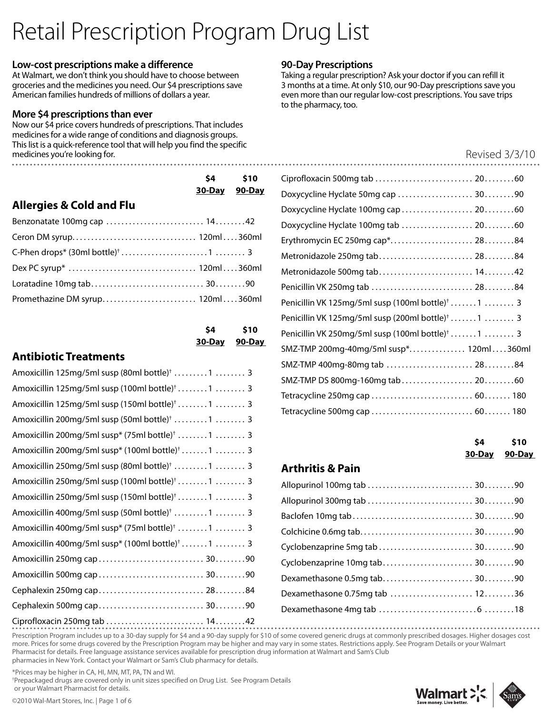# Retail Prescription Program Drug List

#### **Low-cost prescriptions make a difference**

At Walmart, we don't think you should have to choose between groceries and the medicines you need. Our \$4 prescriptions save American families hundreds of millions of dollars a year.

#### **More \$4 prescriptions than ever**

Now our \$4 price covers hundreds of prescriptions. That includes medicines for a wide range of conditions and diagnosis groups. This list is a quick-reference tool that will help you find the specific medicines you're looking for.

#### **90-Day Prescriptions**

Taking a regular prescription? Ask your doctor if you can refill it 3 months at a time. At only \$10, our 90-Day prescriptions save you even more than our regular low-cost prescriptions. You save trips to the pharmacy, too.

#### Revised 3/3/10

|                                     | \$4           | \$10 |
|-------------------------------------|---------------|------|
|                                     | 30-Day 90-Day |      |
| <b>Allergies &amp; Cold and Flu</b> |               |      |
|                                     |               |      |
|                                     |               |      |
|                                     |               |      |
|                                     |               |      |
|                                     |               |      |
| Promethazine DM syrup 120ml360ml    |               |      |

| S4        | \$10          |
|-----------|---------------|
| $30$ -Day | <u>90-Day</u> |

# **Antibiotic Treatments**

| Amoxicillin 125mg/5ml susp (80ml bottle) <sup>†</sup> 1  3   |                                                            |        |
|--------------------------------------------------------------|------------------------------------------------------------|--------|
| Amoxicillin 125mg/5ml susp (100ml bottle) <sup>†</sup> 1  3  | SMZ-TMP DS 800mg-160mg tab 20.                             |        |
| Amoxicillin 125mg/5ml susp (150ml bottle) <sup>†</sup> 1  3  | Tetracycline 250mg cap  60.<br>Tetracycline 500mg cap  60. |        |
| Amoxicillin 200mg/5ml susp (50ml bottle) <sup>†</sup> 1  3   |                                                            |        |
| Amoxicillin 200mg/5ml susp* (75ml bottle) <sup>†</sup> 1  3  |                                                            | \$4    |
| Amoxicillin 200mg/5ml susp* (100ml bottle) <sup>†</sup> 1  3 |                                                            | 30-Day |
| Amoxicillin 250mg/5ml susp (80ml bottle) <sup>+</sup> 1  3   | <b>Arthritis &amp; Pain</b>                                |        |
| Amoxicillin 250mg/5ml susp (100ml bottle) <sup>†</sup> 1  3  | Allopurinol 100mg tab  30                                  |        |
| Amoxicillin 250mg/5ml susp (150ml bottle) <sup>†</sup> 1  3  |                                                            |        |
| Amoxicillin 400mg/5ml susp (50ml bottle) <sup>†</sup> 1  3   |                                                            |        |
| Amoxicillin 400mg/5ml susp* (75ml bottle) <sup>†</sup> 1  3  |                                                            |        |
| Amoxicillin 400mg/5ml susp* (100ml bottle) <sup>†</sup> 1  3 | Cyclobenzaprine 5mg tab  30.                               |        |
|                                                              | Cyclobenzaprine 10mg tab 30                                |        |
|                                                              | Dexamethasone 0.5mg tab 30                                 |        |
|                                                              | Dexamethasone 0.75mg tab  12                               |        |
|                                                              |                                                            |        |
|                                                              |                                                            |        |

| Doxycycline Hyclate 50mg cap  3090                            |
|---------------------------------------------------------------|
| Doxycycline Hyclate 100mg cap  2060                           |
| Doxycycline Hyclate 100mg tab  2060                           |
| Erythromycin EC 250mg cap* 2884                               |
| Metronidazole 250mg tab 2884                                  |
| Metronidazole 500mg tab 1442                                  |
|                                                               |
| Penicillin VK 125mg/5ml susp (100ml bottle) <sup>†</sup> 1  3 |
| Penicillin VK 125mg/5ml susp (200ml bottle) <sup>†</sup> 1  3 |
| Penicillin VK 250mg/5ml susp (100ml bottle) <sup>†</sup> 1  3 |
| SMZ-TMP 200mg-40mg/5ml susp* 120ml360ml                       |
| SMZ-TMP 400mg-80mg tab  2884                                  |
| SMZ-TMP DS 800mg-160mg tab 2060                               |
|                                                               |
|                                                               |
|                                                               |

| S4            | \$10          |
|---------------|---------------|
| <u>30-Day</u> | <b>90-Day</b> |

# **Arthritis & Pain**

| Cyclobenzaprine 10mg tab 3090  |  |
|--------------------------------|--|
|                                |  |
| Dexamethasone 0.75mg tab  1236 |  |
|                                |  |

Prescription Program includes up to a 30-day supply for \$4 and a 90-day supply for \$10 of some covered generic drugs at commonly prescribed dosages. Higher dosages cost more. Prices for some drugs covered by the Prescription Program may be higher and may vary in some states. Restrictions apply. See Program Details or your Walmart Pharmacist for details. Free language assistance services available for prescription drug information at Walmart and Sam's Club pharmacies in New York. Contact your Walmart or Sam's Club pharmacy for details.

\*Prices may be higher in CA, HI, MN, MT, PA, TN and WI.

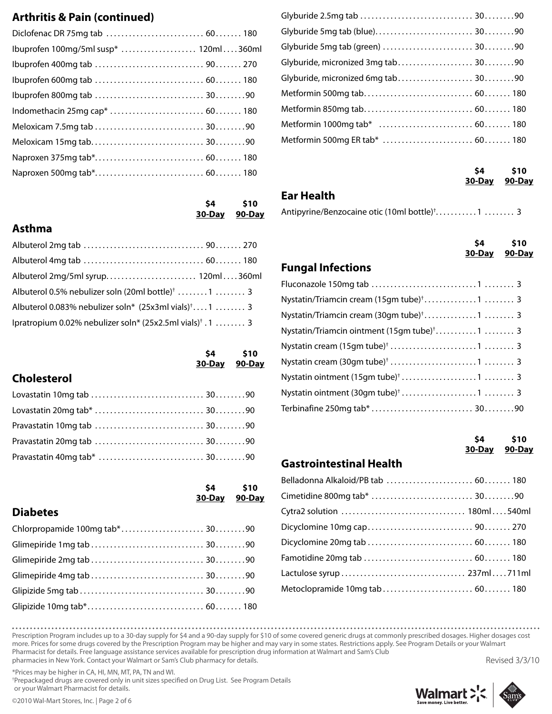# **Arthritis & Pain (continued)**

| Ibuprofen 100mg/5ml susp*  120ml360ml |
|---------------------------------------|
|                                       |
|                                       |
|                                       |
|                                       |
|                                       |
|                                       |
|                                       |
|                                       |
|                                       |

#### **\$4 \$10 30-Day 90-Day**

#### **Asthma**

| Albuterol 2mg/5ml syrup 120ml360ml                                            |  |
|-------------------------------------------------------------------------------|--|
| Albuterol 0.5% nebulizer soln (20ml bottle) <sup>†</sup> 1  3                 |  |
| Albuterol 0.083% nebulizer soln* (25x3ml vials) <sup>+</sup> 1  3             |  |
| Ipratropium 0.02% nebulizer soln* $(25x2.5m1 \text{ vials})^{\dagger}$ . 1  3 |  |

|                    | <b>S4</b><br>30-Day 90-Day | \$10 |
|--------------------|----------------------------|------|
| <b>Cholesterol</b> |                            |      |

|                                | 30-Day 90-Day | $$4$ $$10$ |
|--------------------------------|---------------|------------|
| <b>Diabetes</b>                |               |            |
| Chlorpropamide 100mg tab* 3090 |               |            |
|                                |               |            |
|                                |               |            |
|                                |               |            |
|                                |               |            |
|                                |               |            |

| Glyburide, micronized 3mg tab 3090 |  |
|------------------------------------|--|
| Glyburide, micronized 6mg tab 3090 |  |
|                                    |  |
|                                    |  |
|                                    |  |
|                                    |  |
|                                    |  |

| S4            | \$10          |
|---------------|---------------|
| <b>30-Day</b> | <u>90-Day</u> |

## **Ear Health**

Antipyrine/Benzocaine otic (10ml bottle)<sup>†</sup>............1 ......... 3

|                                                          | <b>S4</b> | \$10<br>30-Day 90-Day |
|----------------------------------------------------------|-----------|-----------------------|
| <b>Fungal Infections</b>                                 |           |                       |
|                                                          |           |                       |
| Nystatin/Triamcin cream (15gm tube) <sup>†</sup> 1  3    |           |                       |
|                                                          |           |                       |
| Nystatin/Triamcin ointment (15gm tube) <sup>†</sup> 1  3 |           |                       |
|                                                          |           |                       |
|                                                          |           |                       |
|                                                          |           |                       |

#### **\$4 \$10 30-Day 90-Day**

## **Gastrointestinal Health**

| Belladonna Alkaloid/PB tab  60 180 |  |
|------------------------------------|--|
|                                    |  |
|                                    |  |
|                                    |  |
|                                    |  |
|                                    |  |
|                                    |  |
| Metoclopramide 10mg tab  60 180    |  |
|                                    |  |

Prescription Program includes up to a 30-day supply for \$4 and a 90-day supply for \$10 of some covered generic drugs at commonly prescribed dosages. Higher dosages cost more. Prices for some drugs covered by the Prescription Program may be higher and may vary in some states. Restrictions apply. See Program Details or your Walmart Pharmacist for details. Free language assistance services available for prescription drug information at Walmart and Sam's Club pharmacies in New York. Contact your Walmart or Sam's Club pharmacy for details.

\*Prices may be higher in CA, HI, MN, MT, PA, TN and WI.

† Prepackaged drugs are covered only in unit sizes specified on Drug List. See Program Details or your Walmart Pharmacist for details.



Revised 3/3/10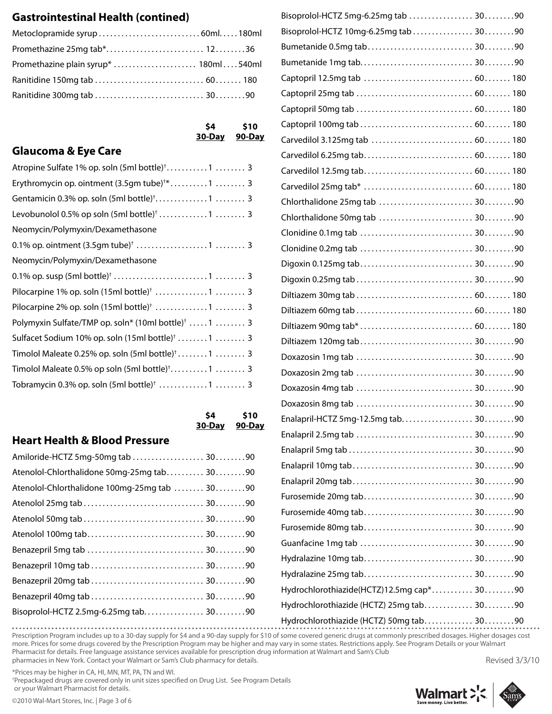# **Gastrointestinal Health (contined)**

**\$4 \$10 30-Day 90-Day**

# **Glaucoma & Eye Care**

| Atropine Sulfate 1% op. soln (5ml bottle) <sup>†</sup> 1  3     |
|-----------------------------------------------------------------|
| Erythromycin op. ointment (3.5qm tube) <sup>+*</sup> 1  3       |
| Gentamicin 0.3% op. soln (5ml bottle) <sup>†</sup> 1  3         |
|                                                                 |
| Neomycin/Polymyxin/Dexamethasone                                |
|                                                                 |
| Neomycin/Polymyxin/Dexamethasone                                |
|                                                                 |
| Pilocarpine 1% op. soln $(15ml bottle)^{\dagger}$ 1  3          |
| Pilocarpine 2% op. soln (15ml bottle) <sup>†</sup> 1  3         |
| Polymyxin Sulfate/TMP op. soln* (10ml bottle) <sup>†</sup> 1  3 |
| Sulfacet Sodium 10% op. soln (15ml bottle) <sup>†</sup> 1  3    |
| Timolol Maleate 0.25% op. soln $(5ml bottle)^{\dagger}$ 1  3    |
|                                                                 |
| Tobramycin 0.3% op. soln $(5ml$ bottle) <sup>†</sup> 1  3       |
|                                                                 |

**\$4 \$10 30-Day 90-Day**

# **Heart Health & Blood Pressure**

| Amiloride-HCTZ 5mg-50mg tab  3090            |  |
|----------------------------------------------|--|
| Atenolol-Chlorthalidone 50mg-25mg tab 3090   |  |
| Atenolol-Chlorthalidone 100mg-25mg tab  3090 |  |
|                                              |  |
|                                              |  |
|                                              |  |
|                                              |  |
|                                              |  |
|                                              |  |
|                                              |  |
| Bisoprolol-HCTZ 2.5mg-6.25mg tab 3090        |  |
|                                              |  |

| Bisoprolol-HCTZ 5mg-6.25mg tab  3090      |  |
|-------------------------------------------|--|
| Bisoprolol-HCTZ 10mg-6.25mg tab  3090     |  |
|                                           |  |
|                                           |  |
|                                           |  |
|                                           |  |
|                                           |  |
|                                           |  |
| Carvedilol 3.125mg tab  60 180            |  |
|                                           |  |
|                                           |  |
|                                           |  |
|                                           |  |
|                                           |  |
|                                           |  |
|                                           |  |
|                                           |  |
|                                           |  |
|                                           |  |
|                                           |  |
|                                           |  |
|                                           |  |
|                                           |  |
|                                           |  |
|                                           |  |
|                                           |  |
| Enalapril-HCTZ 5mg-12.5mg tab 3090        |  |
|                                           |  |
|                                           |  |
|                                           |  |
|                                           |  |
|                                           |  |
|                                           |  |
|                                           |  |
|                                           |  |
|                                           |  |
|                                           |  |
| Hydrochlorothiazide(HCTZ)12.5mg cap* 3090 |  |
| Hydrochlorothiazide (HCTZ) 25mg tab 3090  |  |
| Hydrochlorothiazide (HCTZ) 50mg tab 3090  |  |

Prescription Program includes up to a 30-day supply for \$4 and a 90-day supply for \$10 of some covered generic drugs at commonly prescribed dosages. Higher dosages cost more. Prices for some drugs covered by the Prescription Program may be higher and may vary in some states. Restrictions apply. See Program Details or your Walmart Pharmacist for details. Free language assistance services available for prescription drug information at Walmart and Sam's Club pharmacies in New York. Contact your Walmart or Sam's Club pharmacy for details. Revised 3/3/10

\*Prices may be higher in CA, HI, MN, MT, PA, TN and WI.

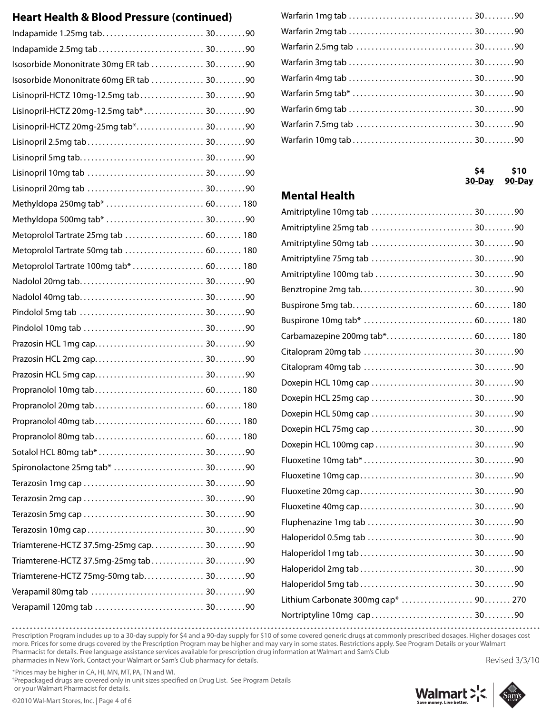# **Heart Health & Blood Pressure (continued)**

| Isosorbide Mononitrate 30mg ER tab  3090 |  |
|------------------------------------------|--|
| Isosorbide Mononitrate 60mg ER tab  3090 |  |
| Lisinopril-HCTZ 10mg-12.5mg tab 3090     |  |
| Lisinopril-HCTZ 20mg-12.5mg tab* 3090    |  |
| Lisinopril-HCTZ 20mg-25mg tab* 3090      |  |
|                                          |  |
|                                          |  |
|                                          |  |
|                                          |  |
| Methyldopa 250mg tab*  60 180            |  |
|                                          |  |
| Metoprolol Tartrate 25mg tab  60 180     |  |
| Metoprolol Tartrate 50mg tab  60 180     |  |
|                                          |  |
|                                          |  |
|                                          |  |
|                                          |  |
|                                          |  |
|                                          |  |
|                                          |  |
|                                          |  |
|                                          |  |
|                                          |  |
|                                          |  |
|                                          |  |
|                                          |  |
| Spironolactone 25mg tab*  3090           |  |
|                                          |  |
|                                          |  |
|                                          |  |
|                                          |  |
| Triamterene-HCTZ 37.5mg-25mg cap 3090    |  |
| Triamterene-HCTZ 37.5mg-25mg tab  3090   |  |
| Triamterene-HCTZ 75mg-50mg tab 3090      |  |
|                                          |  |
|                                          |  |
|                                          |  |

**\$4 \$10 30-Day 90-Day**

## **Mental Health**

| Carbamazepine 200mg tab* 60 180      |  |
|--------------------------------------|--|
|                                      |  |
|                                      |  |
|                                      |  |
|                                      |  |
|                                      |  |
|                                      |  |
|                                      |  |
|                                      |  |
|                                      |  |
|                                      |  |
|                                      |  |
|                                      |  |
|                                      |  |
|                                      |  |
|                                      |  |
|                                      |  |
| Lithium Carbonate 300mg cap*  90 270 |  |
|                                      |  |

Prescription Program includes up to a 30-day supply for \$4 and a 90-day supply for \$10 of some covered generic drugs at commonly prescribed dosages. Higher dosages cost more. Prices for some drugs covered by the Prescription Program may be higher and may vary in some states. Restrictions apply. See Program Details or your Walmart Pharmacist for details. Free language assistance services available for prescription drug information at Walmart and Sam's Club pharmacies in New York. Contact your Walmart or Sam's Club pharmacy for details.

\*Prices may be higher in CA, HI, MN, MT, PA, TN and WI.

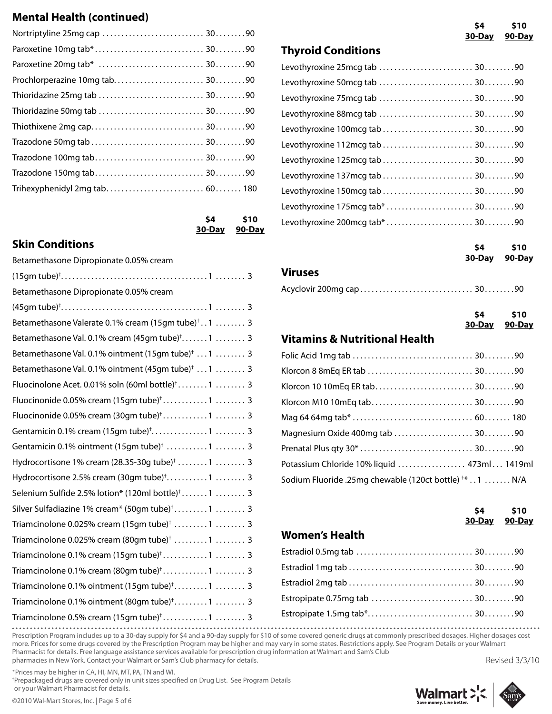# **Mental Health (continued)**

**\$4 \$10 30-Day 90-Day**

# **Skin Conditions**

| Betamethasone Dipropionate 0.05% cream                          | 30-Day<br>90-Day                                                  |
|-----------------------------------------------------------------|-------------------------------------------------------------------|
|                                                                 | <b>Viruses</b>                                                    |
| Betamethasone Dipropionate 0.05% cream                          |                                                                   |
|                                                                 | \$10<br>\$4                                                       |
| Betamethasone Valerate 0.1% cream (15gm tube) <sup>†</sup> 1  3 | 30-Day<br>90-Day                                                  |
| Betamethasone Val. 0.1% cream (45gm tube) <sup>+</sup> 1  3     | <b>Vitamins &amp; Nutritional Health</b>                          |
| Betamethasone Val. 0.1% ointment (15gm tube) <sup>†</sup> 1  3  |                                                                   |
| Betamethasone Val. 0.1% ointment (45qm tube) <sup>†</sup> 1  3  |                                                                   |
| Fluocinolone Acet. 0.01% soln (60ml bottle) <sup>†</sup> 1  3   |                                                                   |
|                                                                 |                                                                   |
| Fluocinonide 0.05% cream (30gm tube) <sup>†</sup> 1  3          |                                                                   |
| Gentamicin 0.1% cream (15gm tube) <sup>+</sup> 1  3             | Magnesium Oxide 400mg tab  3090                                   |
| Gentamicin 0.1% ointment (15gm tube) <sup>†</sup> 1  3          |                                                                   |
| Hydrocortisone 1% cream (28.35-30g tube) <sup>†</sup> 1  3      | Potassium Chloride 10% liquid  473ml 1419ml                       |
| Hydrocortisone 2.5% cream (30gm tube) <sup>†</sup> 1  3         | Sodium Fluoride .25mg chewable (120ct bottle) <sup>+*</sup> 1 N/A |
| Selenium Sulfide 2.5% lotion* $(120ml bottle)^{\dagger}$ 1  3   |                                                                   |
| Silver Sulfadiazine 1% cream* (50gm tube) <sup>†</sup> 1  3     | \$10<br>\$4                                                       |
| Triamcinolone 0.025% cream (15gm tube) <sup>+</sup> 1  3        | 30-Day<br>90-Day                                                  |
| Triamcinolone 0.025% cream (80gm tube) <sup>†</sup> 1  3        | <b>Women's Health</b>                                             |
| Triamcinolone 0.1% cream $(15gm \, tube)^{\dagger}$ 1  3        |                                                                   |
|                                                                 |                                                                   |
| Triamcinolone 0.1% ointment (15gm tube) <sup>+</sup> 1  3       |                                                                   |
| Triamcinolone 0.1% ointment (80gm tube) <sup>†</sup> 1  3       |                                                                   |
| Triamcinolone 0.5% cream (15gm tube) <sup>†</sup> 1  3          |                                                                   |
|                                                                 |                                                                   |

**\$4 \$10 30-Day 90-Day**

**Thyroid Conditions**

| Levothyroxine 112mcg tab  3090  |  |
|---------------------------------|--|
| Levothyroxine 125mcg tab  3090  |  |
| Levothyroxine 137mcg tab  3090  |  |
| Levothyroxine 150mcg tab  3090  |  |
| Levothyroxine 175mcg tab*  3090 |  |
| Levothyroxine 200mcg tab* 3090  |  |

|                                                                   | \$4                        | \$10<br>30-Day 90-Day |
|-------------------------------------------------------------------|----------------------------|-----------------------|
| <b>Viruses</b>                                                    |                            |                       |
|                                                                   |                            |                       |
|                                                                   | <b>S4</b><br>30-Day 90-Day | \$10                  |
| <b>Vitamins &amp; Nutritional Health</b>                          |                            |                       |
|                                                                   |                            |                       |
|                                                                   |                            |                       |
|                                                                   |                            |                       |
|                                                                   |                            |                       |
|                                                                   |                            |                       |
| Magnesium Oxide 400mg tab  3090                                   |                            |                       |
|                                                                   |                            |                       |
| Potassium Chloride 10% liquid  473ml 1419ml                       |                            |                       |
| Sodium Fluoride .25mg chewable (120ct bottle) <sup>+*</sup> 1 N/A |                            |                       |

|                       | 30-Day 90-Day | $$4$ \$10 |
|-----------------------|---------------|-----------|
| <b>Women's Health</b> |               |           |
|                       |               |           |
|                       |               |           |
|                       |               |           |
|                       |               |           |
|                       |               |           |

Prescription Program includes up to a 30-day supply for \$4 and a 90-day supply for \$10 of some covered generic drugs at commonly prescribed dosages. Higher dosages cost more. Prices for some drugs covered by the Prescription Program may be higher and may vary in some states. Restrictions apply. See Program Details or your Walmart Pharmacist for details. Free language assistance services available for prescription drug information at Walmart and Sam's Club pharmacies in New York. Contact your Walmart or Sam's Club pharmacy for details. Revised 3/3/10

\*Prices may be higher in CA, HI, MN, MT, PA, TN and WI.